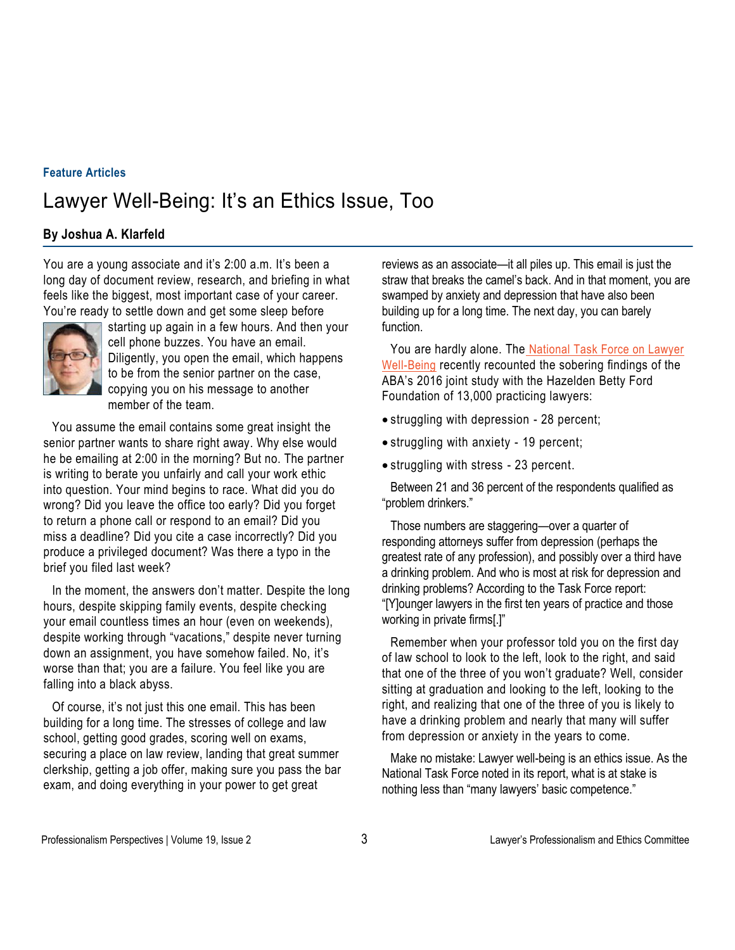## **Feature Articles**

## Lawyer Well-Being: It's an Ethics Issue, Too

## **By Joshua A. Klarfeld**

You are a young associate and it's 2:00 a.m. It's been a long day of document review, research, and briefing in what feels like the biggest, most important case of your career. You're ready to settle down and get some sleep before



starting up again in a few hours. And then your cell phone buzzes. You have an email. Diligently, you open the email, which happens to be from the senior partner on the case, copying you on his message to another member of the team.

You assume the email contains some great insight the senior partner wants to share right away. Why else would he be emailing at 2:00 in the morning? But no. The partner is writing to berate you unfairly and call your work ethic into question. Your mind begins to race. What did you do wrong? Did you leave the office too early? Did you forget to return a phone call or respond to an email? Did you miss a deadline? Did you cite a case incorrectly? Did you produce a privileged document? Was there a typo in the brief you filed last week?

In the moment, the answers don't matter. Despite the long hours, despite skipping family events, despite checking your email countless times an hour (even on weekends), despite working through "vacations," despite never turning down an assignment, you have somehow failed. No, it's worse than that; you are a failure. You feel like you are falling into a black abyss.

Of course, it's not just this one email. This has been building for a long time. The stresses of college and law school, getting good grades, scoring well on exams, securing a place on law review, landing that great summer clerkship, getting a job offer, making sure you pass the bar exam, and doing everything in your power to get great

reviews as an associate—it all piles up. This email is just the straw that breaks the camel's back. And in that moment, you are swamped by anxiety and depression that have also been building up for a long time. The next day, you can barely function.

You are hardly alone. The National Task Force on Lawyer Well-Being recently recounted the sobering findings of the ABA's 2016 joint study with the Hazelden Betty Ford Foundation of 13,000 practicing lawyers:

- struggling with depression 28 percent;
- struggling with anxiety 19 percent;
- struggling with stress 23 percent.

Between 21 and 36 percent of the respondents qualified as "problem drinkers."

Those numbers are staggering—over a quarter of responding attorneys suffer from depression (perhaps the greatest rate of any profession), and possibly over a third have a drinking problem. And who is most at risk for depression and drinking problems? According to the Task Force report: "[Y]ounger lawyers in the first ten years of practice and those working in private firms[.]"

Remember when your professor told you on the first day of law school to look to the left, look to the right, and said that one of the three of you won't graduate? Well, consider sitting at graduation and looking to the left, looking to the right, and realizing that one of the three of you is likely to have a drinking problem and nearly that many will suffer from depression or anxiety in the years to come.

Make no mistake: Lawyer well-being is an ethics issue. As the National Task Force noted in its report, what is at stake is nothing less than "many lawyers' basic competence."